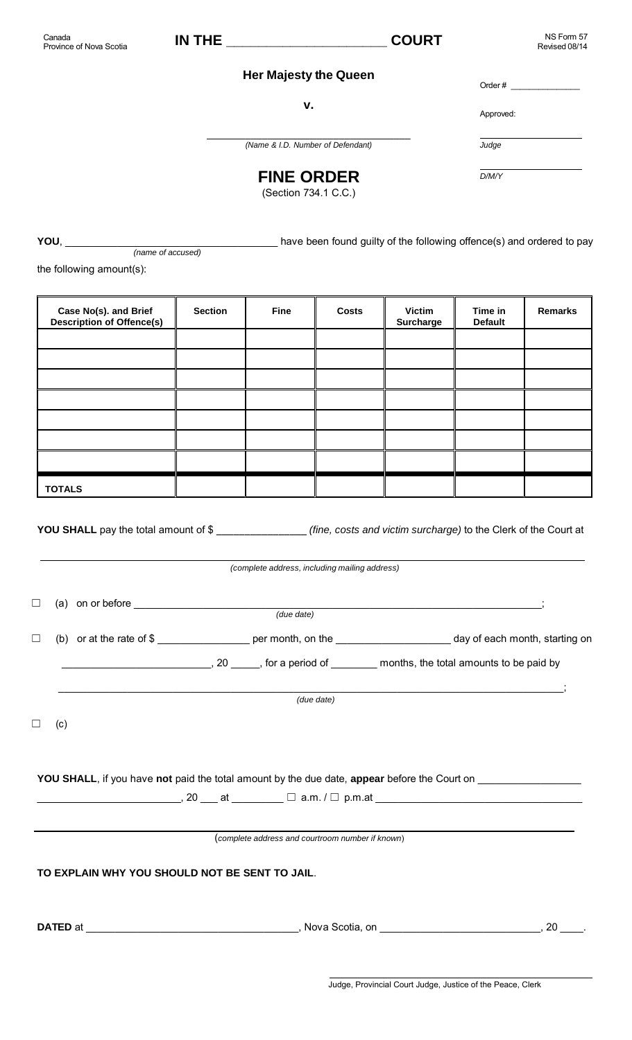## **Her Majesty the Queen**

**v.**

Order  $#_$ Approved: *Judge D/M/Y*

\_\_\_\_\_\_\_\_\_\_\_\_\_\_\_\_\_\_\_\_\_\_\_\_\_\_\_\_\_\_\_\_\_\_\_\_\_ *(Name & I.D. Number of Defendant)*

# **FINE ORDER**

(Section 734.1 C.C.)

**YOU**, \_\_\_\_\_\_\_\_\_\_\_\_\_\_\_\_\_\_\_\_\_\_\_\_\_\_\_\_\_\_\_\_\_\_\_\_\_ have been found guilty of the following offence(s) and ordered to pay  *(name of accused)* 

the following amount(s):

| Case No(s). and Brief<br><b>Description of Offence(s)</b>                                               | <b>Section</b> | <b>Fine</b> | <b>Costs</b> | <b>Victim</b><br><b>Surcharge</b> | Time in<br><b>Default</b> | Remarks |  |  |
|---------------------------------------------------------------------------------------------------------|----------------|-------------|--------------|-----------------------------------|---------------------------|---------|--|--|
|                                                                                                         |                |             |              |                                   |                           |         |  |  |
|                                                                                                         |                |             |              |                                   |                           |         |  |  |
|                                                                                                         |                |             |              |                                   |                           |         |  |  |
|                                                                                                         |                |             |              |                                   |                           |         |  |  |
|                                                                                                         |                |             |              |                                   |                           |         |  |  |
|                                                                                                         |                |             |              |                                   |                           |         |  |  |
|                                                                                                         |                |             |              |                                   |                           |         |  |  |
| <b>TOTALS</b>                                                                                           |                |             |              |                                   |                           |         |  |  |
| YOU SHALL pay the total amount of \$<br>(fine, costs and victim surcharge) to the Clerk of the Court at |                |             |              |                                   |                           |         |  |  |

*(complete address, including mailing address)*

|        |     | (a) on or before $\qquad \qquad (due date)$    |                                                  |                                                                                                               |
|--------|-----|------------------------------------------------|--------------------------------------------------|---------------------------------------------------------------------------------------------------------------|
| $\Box$ |     |                                                |                                                  | (b) or at the rate of \$                                                                                      |
|        |     |                                                |                                                  |                                                                                                               |
|        |     |                                                | (due date)                                       |                                                                                                               |
|        | (c) |                                                |                                                  |                                                                                                               |
|        |     |                                                |                                                  |                                                                                                               |
|        |     |                                                |                                                  | YOU SHALL, if you have not paid the total amount by the due date, appear before the Court on ________________ |
|        |     |                                                |                                                  |                                                                                                               |
|        |     |                                                |                                                  |                                                                                                               |
|        |     |                                                | (complete address and courtroom number if known) |                                                                                                               |
|        |     | TO EXPLAIN WHY YOU SHOULD NOT BE SENT TO JAIL. |                                                  |                                                                                                               |
|        |     |                                                |                                                  | <b>20</b>                                                                                                     |